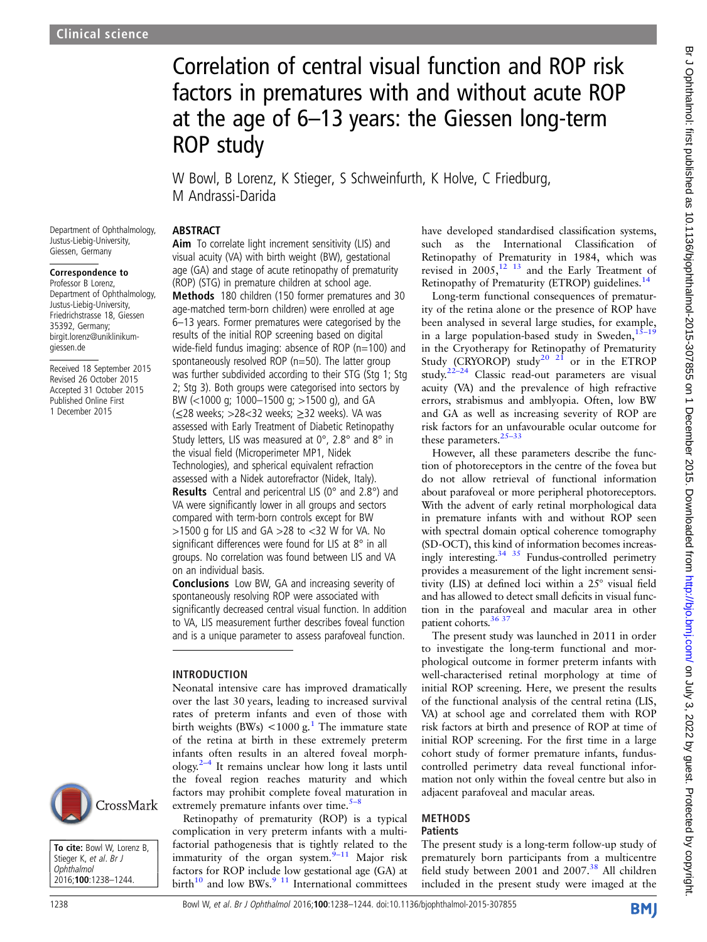# Correlation of central visual function and ROP risk factors in prematures with and without acute ROP at the age of 6–13 years: the Giessen long-term ROP study

W Bowl, B Lorenz, K Stieger, S Schweinfurth, K Holve, C Friedburg, M Andrassi-Darida

#### ABSTRACT

Department of Ophthalmology, Justus-Liebig-University, Giessen, Germany

## Correspondence to

Professor B Lorenz, Department of Ophthalmology, Justus-Liebig-University, Friedrichstrasse 18, Giessen 35392, Germany; birgit.lorenz@uniklinikumgiessen.de

Received 18 September 2015 Revised 26 October 2015 Accepted 31 October 2015 Published Online First 1 December 2015

age (GA) and stage of acute retinopathy of prematurity (ROP) (STG) in premature children at school age. Methods 180 children (150 former prematures and 30 age-matched term-born children) were enrolled at age 6–13 years. Former prematures were categorised by the results of the initial ROP screening based on digital wide-field fundus imaging: absence of ROP (n=100) and spontaneously resolved ROP (n=50). The latter group was further subdivided according to their STG (Stg 1; Stg 2; Stg 3). Both groups were categorised into sectors by BW (<1000 g; 1000–1500 g; >1500 g), and GA (≤28 weeks; >28<32 weeks; ≥32 weeks). VA was assessed with Early Treatment of Diabetic Retinopathy Study letters, LIS was measured at 0°, 2.8° and 8° in the visual field (Microperimeter MP1, Nidek Technologies), and spherical equivalent refraction assessed with a Nidek autorefractor (Nidek, Italy). Results Central and pericentral LIS (0° and 2.8°) and VA were significantly lower in all groups and sectors compared with term-born controls except for BW  $>1500$  g for LIS and GA  $>28$  to  $<$ 32 W for VA. No significant differences were found for LIS at 8° in all groups. No correlation was found between LIS and VA on an individual basis.

Aim To correlate light increment sensitivity (LIS) and visual acuity (VA) with birth weight (BW), gestational

Conclusions Low BW, GA and increasing severity of spontaneously resolving ROP were associated with significantly decreased central visual function. In addition to VA, LIS measurement further describes foveal function and is a unique parameter to assess parafoveal function.

#### INTRODUCTION

Neonatal intensive care has improved dramatically over the last 30 years, leading to increased survival rates of preterm infants and even of those with birth weights (BWs)  $<$  [1](#page-5-0)000 g.<sup>1</sup> The immature state of the retina at birth in these extremely preterm infants often results in an altered foveal morph- $\log y$ <sup>2–[4](#page-5-0)</sup> It remains unclear how long it lasts until the foveal region reaches maturity and which factors may prohibit complete foveal maturation in extremely premature infants over time.<sup>[5](#page-5-0)–</sup>

Retinopathy of prematurity (ROP) is a typical complication in very preterm infants with a multifactorial pathogenesis that is tightly related to the immaturity of the organ system.<sup>9-[11](#page-5-0)</sup> Major risk factors for ROP include low gestational age (GA) at birth<sup>[10](#page-5-0)</sup> and low BWs.<sup>9</sup> <sup>11</sup> International committees

have developed standardised classification systems, such as the International Classification of Retinopathy of Prematurity in 1984, which was revised in  $2005$ ,  $12\frac{13}{13}$  and the Early Treatment of Retinopathy of Prematurity (ETROP) guidelines.<sup>[14](#page-5-0)</sup>

Long-term functional consequences of prematurity of the retina alone or the presence of ROP have been analysed in several large studies, for example, in a large population-based study in Sweden, $15-19$  $15-19$ in the Cryotherapy for Retinopathy of Prematurity Study (CRYOROP) study<sup>20</sup> <sup>21</sup> or in the ETROP study.<sup>22-[24](#page-5-0)</sup> Classic read-out parameters are visual acuity (VA) and the prevalence of high refractive errors, strabismus and amblyopia. Often, low BW and GA as well as increasing severity of ROP are risk factors for an unfavourable ocular outcome for these parameters. $25-33$  $25-33$ 

However, all these parameters describe the function of photoreceptors in the centre of the fovea but do not allow retrieval of functional information about parafoveal or more peripheral photoreceptors. With the advent of early retinal morphological data in premature infants with and without ROP seen with spectral domain optical coherence tomography (SD-OCT), this kind of information becomes increasingly interesting. $34 \frac{35}{10}$  Fundus-controlled perimetry provides a measurement of the light increment sensitivity (LIS) at defined loci within a 25° visual field and has allowed to detect small deficits in visual function in the parafoveal and macular area in other patient cohorts.<sup>36 37</sup>

The present study was launched in 2011 in order to investigate the long-term functional and morphological outcome in former preterm infants with well-characterised retinal morphology at time of initial ROP screening. Here, we present the results of the functional analysis of the central retina (LIS, VA) at school age and correlated them with ROP risk factors at birth and presence of ROP at time of initial ROP screening. For the first time in a large cohort study of former premature infants, funduscontrolled perimetry data reveal functional information not only within the foveal centre but also in adjacent parafoveal and macular areas.

#### METHODS **Patients**

The present study is a long-term follow-up study of prematurely born participants from a multicentre field study between 2001 and 2007.<sup>[38](#page-6-0)</sup> All children included in the present study were imaged at the



To cite: Bowl W, Lorenz B, Stieger K, et al. Br J **Ophthalmol** 2016;100:1238–1244.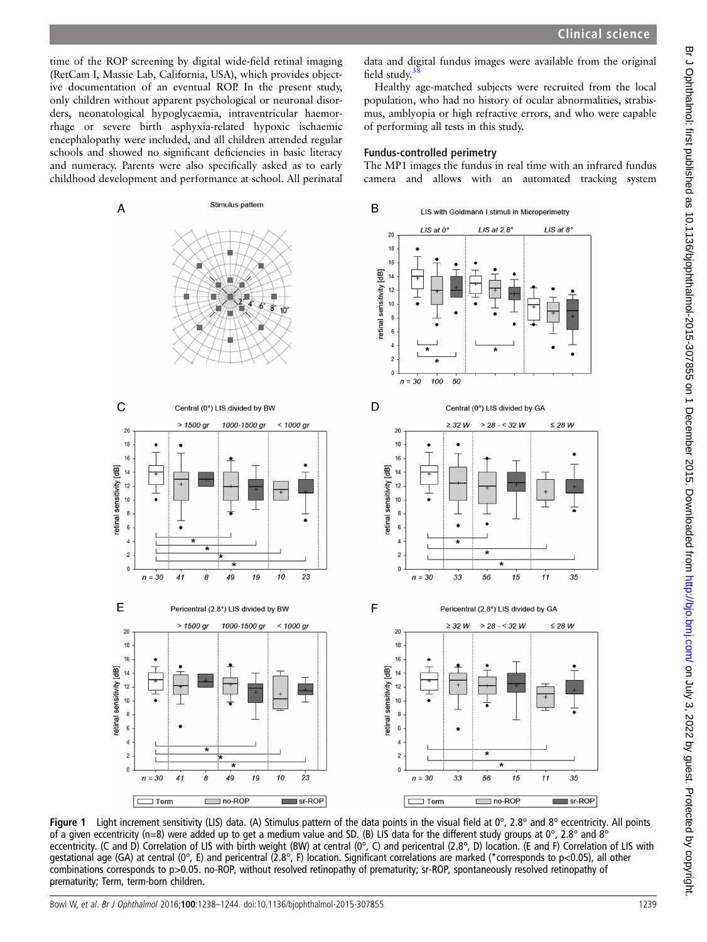<span id="page-1-0"></span>time of the ROP screening by digital wide-field retinal imaging (RetCam I, Massie Lab, California, USA), which provides objective documentation of an eventual ROP. In the present study, only children without apparent psychological or neuronal disorders, neonatological hypoglycaemia, intraventricular haemorrhage or severe birth asphyxia-related hypoxic ischaemic encephalopathy were included, and all children attended regular schools and showed no significant deficiencies in basic literacy and numeracy. Parents were also specifically asked as to early childhood development and performance at school. All perinatal

data and digital fundus images were available from the original field study.

Healthy age-matched subjects were recruited from the local population, who had no history of ocular abnormalities, strabismus, amblyopia or high refractive errors, and who were capable of performing all tests in this study.

### Fundus-controlled perimetry

The MP1 images the fundus in real time with an infrared fundus camera and allows with an automated tracking system



Figure 1 Light increment sensitivity (LIS) data. (A) Stimulus pattern of the data points in the visual field at  $0^\circ$ , 2.8° and 8° eccentricity. All points of a given eccentricity (n=8) were added up to get a medium value and SD. (B) LIS data for the different study groups at  $0^{\circ}$ , 2.8° and 8° eccentricity. (C and D) Correlation of LIS with birth weight (BW) at central (0°, C) and pericentral (2.8°, D) location. (E and F) Correlation of LIS with gestational age (GA) at central (0°, E) and pericentral (2.8°, F) location. Significant correlations are marked (\*corresponds to p<0.05), all other combinations corresponds to p>0.05. no-ROP, without resolved retinopathy of prematurity; sr-ROP, spontaneously resolved retinopathy of prematurity; Term, term-born children.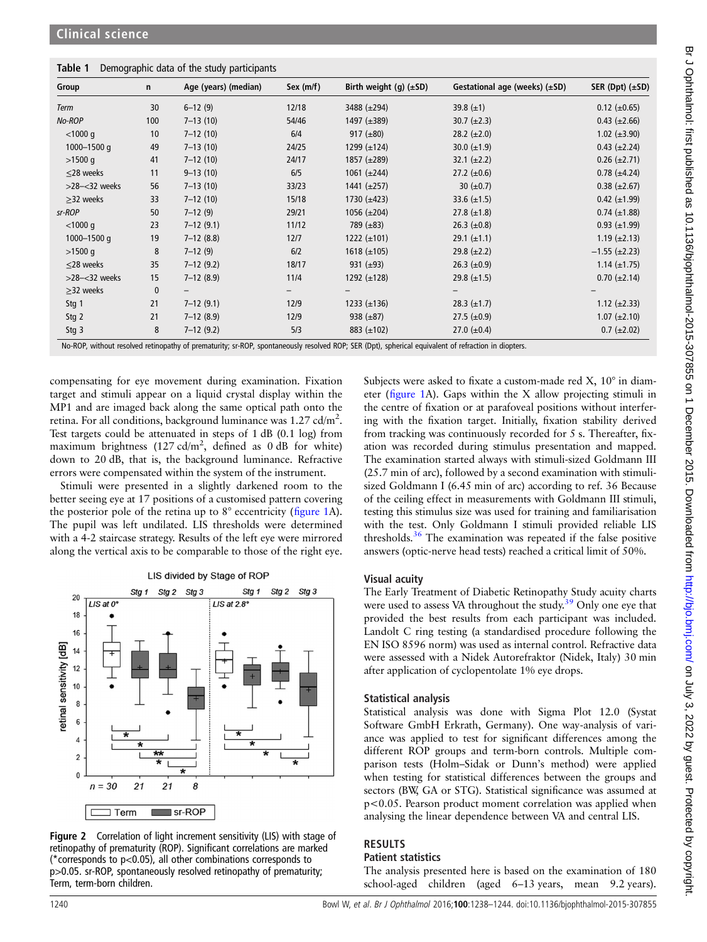<span id="page-2-0"></span>

| Group             | n   | Age (years) (median) | Sex $(m/f)$ | Birth weight (g) $(\pm SD)$ | Gestational age (weeks) (±SD) | SER (Dpt) $(\pm SD)$ |
|-------------------|-----|----------------------|-------------|-----------------------------|-------------------------------|----------------------|
| Term              | 30  | $6 - 12(9)$          | 12/18       | 3488 $(\pm 294)$            | 39.8 $(\pm 1)$                | $0.12 \ (\pm 0.65)$  |
| No-ROP            | 100 | $7 - 13(10)$         | 54/46       | 1497 $(\pm 389)$            | 30.7 $(\pm 2.3)$              | $0.43 \ (\pm 2.66)$  |
| $<$ 1000 q        | 10  | $7 - 12(10)$         | 6/4         | 917 $(\pm 80)$              | 28.2 $(\pm 2.0)$              | 1.02 $(\pm 3.90)$    |
| 1000-1500 g       | 49  | $7 - 13(10)$         | 24/25       | 1299 $(\pm 124)$            | 30.0 $(\pm 1.9)$              | $0.43 \ (\pm 2.24)$  |
| $>1500$ g         | 41  | $7 - 12(10)$         | 24/17       | 1857 $(\pm 289)$            | 32.1 $(\pm 2.2)$              | $0.26 \ (\pm 2.71)$  |
| $\leq$ 28 weeks   | 11  | $9 - 13(10)$         | 6/5         | 1061 $(\pm 244)$            | 27.2 $(\pm 0.6)$              | $0.78 \ (\pm 4.24)$  |
| $>28 - <32$ weeks | 56  | $7 - 13(10)$         | 33/23       | 1441 $(\pm 257)$            | 30 $(\pm 0.7)$                | $0.38 \ (\pm 2.67)$  |
| $\geq$ 32 weeks   | 33  | $7 - 12(10)$         | 15/18       | 1730 $(\pm 423)$            | 33.6 $(\pm 1.5)$              | $0.42 \ (\pm 1.99)$  |
| sr-ROP            | 50  | $7 - 12(9)$          | 29/21       | 1056 $(\pm 204)$            | 27.8 $(\pm 1.8)$              | $0.74 \ (\pm 1.88)$  |
| $<$ 1000 q        | 23  | $7 - 12(9.1)$        | 11/12       | 789 $(\pm 83)$              | 26.3 $(\pm 0.8)$              | $0.93 \ (\pm 1.99)$  |
| 1000 $-1500$ q    | 19  | $7 - 12(8.8)$        | 12/7        | 1222 $(\pm 101)$            | 29.1 $(\pm 1.1)$              | $1.19 \ (\pm 2.13)$  |
| $>1500$ g         | 8   | $7 - 12(9)$          | 6/2         | 1618 $(\pm 105)$            | 29.8 $(\pm 2.2)$              | $-1.55 \ (\pm 2.23)$ |
| $\leq$ 28 weeks   | 35  | $7 - 12(9.2)$        | 18/17       | 931 $(\pm 93)$              | 26.3 $(\pm 0.9)$              | $1.14 \ (\pm 1.75)$  |
| $>28 - <32$ weeks | 15  | $7 - 12(8.9)$        | 11/4        | 1292 $(\pm 128)$            | 29.8 $(\pm 1.5)$              | $0.70 \ (\pm 2.14)$  |
| $\geq$ 32 weeks   | 0   |                      | -           |                             |                               |                      |
| Stg 1             | 21  | $7 - 12(9.1)$        | 12/9        | 1233 $(\pm 136)$            | 28.3 $(\pm 1.7)$              | 1.12 $(\pm 2.33)$    |
| Stg $2$           | 21  | $7 - 12(8.9)$        | 12/9        | 938 $(\pm 87)$              | 27.5 $(\pm 0.9)$              | $1.07 \ (\pm 2.10)$  |
| Stg <sub>3</sub>  | 8   | $7 - 12(9.2)$        | 5/3         | 883 $(\pm 102)$             | 27.0 $(\pm 0.4)$              | $0.7 (\pm 2.02)$     |

compensating for eye movement during examination. Fixation target and stimuli appear on a liquid crystal display within the MP1 and are imaged back along the same optical path onto the retina. For all conditions, background luminance was  $1.27 \text{ cd/m}^2$ . Test targets could be attenuated in steps of 1 dB (0.1 log) from maximum brightness  $(127 \text{ cd/m}^2, \text{ defined as } 0 \text{ dB for white})$ down to 20 dB, that is, the background luminance. Refractive errors were compensated within the system of the instrument.

Stimuli were presented in a slightly darkened room to the better seeing eye at 17 positions of a customised pattern covering the posterior pole of the retina up to  $8^\circ$  eccentricity (fi[gure 1](#page-1-0)A). The pupil was left undilated. LIS thresholds were determined with a 4-2 staircase strategy. Results of the left eye were mirrored along the vertical axis to be comparable to those of the right eye.



Figure 2 Correlation of light increment sensitivity (LIS) with stage of retinopathy of prematurity (ROP). Significant correlations are marked (\*corresponds to p<0.05), all other combinations corresponds to p>0.05. sr-ROP, spontaneously resolved retinopathy of prematurity; Term, term-born children.

Subjects were asked to fixate a custom-made red X, 10° in diameter (fi[gure 1A](#page-1-0)). Gaps within the X allow projecting stimuli in the centre of fixation or at parafoveal positions without interfering with the fixation target. Initially, fixation stability derived from tracking was continuously recorded for 5 s. Thereafter, fixation was recorded during stimulus presentation and mapped. The examination started always with stimuli-sized Goldmann III (25.7 min of arc), followed by a second examination with stimulisized Goldmann I (6.45 min of arc) according to ref. 36 Because of the ceiling effect in measurements with Goldmann III stimuli, testing this stimulus size was used for training and familiarisation with the test. Only Goldmann I stimuli provided reliable LIS thresholds.[36](#page-5-0) The examination was repeated if the false positive answers (optic-nerve head tests) reached a critical limit of 50%.

## Visual acuity

The Early Treatment of Diabetic Retinopathy Study acuity charts were used to assess VA throughout the study.<sup>[39](#page-6-0)</sup> Only one eye that provided the best results from each participant was included. Landolt C ring testing (a standardised procedure following the EN ISO 8596 norm) was used as internal control. Refractive data were assessed with a Nidek Autorefraktor (Nidek, Italy) 30 min after application of cyclopentolate 1% eye drops.

## Statistical analysis

Statistical analysis was done with Sigma Plot 12.0 (Systat Software GmbH Erkrath, Germany). One way-analysis of variance was applied to test for significant differences among the different ROP groups and term-born controls. Multiple comparison tests (Holm–Sidak or Dunn's method) were applied when testing for statistical differences between the groups and sectors (BW, GA or STG). Statistical significance was assumed at p<0.05. Pearson product moment correlation was applied when analysing the linear dependence between VA and central LIS.

#### RESULTS Patient statistics

The analysis presented here is based on the examination of 180 school-aged children (aged 6–13 years, mean 9.2 years).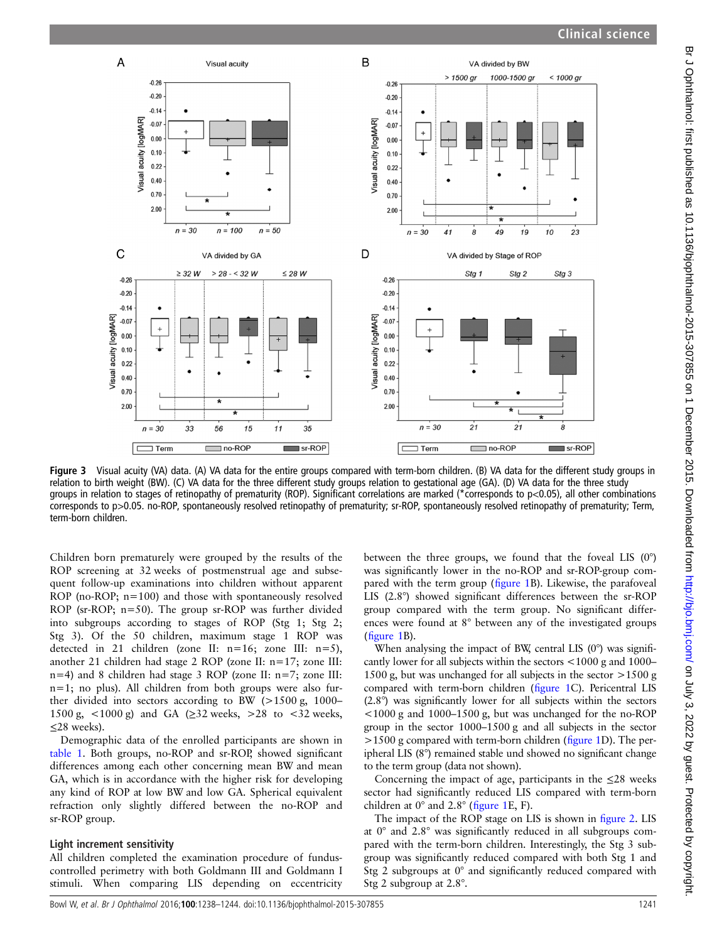<span id="page-3-0"></span>

Figure 3 Visual acuity (VA) data. (A) VA data for the entire groups compared with term-born children. (B) VA data for the different study groups in relation to birth weight (BW). (C) VA data for the three different study groups relation to gestational age (GA). (D) VA data for the three study groups in relation to stages of retinopathy of prematurity (ROP). Significant correlations are marked (\*corresponds to p<0.05), all other combinations corresponds to p>0.05. no-ROP, spontaneously resolved retinopathy of prematurity; sr-ROP, spontaneously resolved retinopathy of prematurity; Term, term-born children.

Children born prematurely were grouped by the results of the ROP screening at 32 weeks of postmenstrual age and subsequent follow-up examinations into children without apparent ROP (no-ROP;  $n=100$ ) and those with spontaneously resolved ROP (sr-ROP; n=50). The group sr-ROP was further divided into subgroups according to stages of ROP (Stg 1; Stg 2; Stg 3). Of the 50 children, maximum stage 1 ROP was detected in 21 children (zone II: n=16; zone III: n=5), another 21 children had stage 2 ROP (zone II: n=17; zone III: n=4) and 8 children had stage 3 ROP (zone II: n=7; zone III: n=1; no plus). All children from both groups were also further divided into sectors according to BW (>1500 g, 1000– 1500 g, <1000 g) and GA (≥32 weeks, >28 to <32 weeks,  $≤28$  weeks).

Demographic data of the enrolled participants are shown in [table 1.](#page-2-0) Both groups, no-ROP and sr-ROP, showed significant differences among each other concerning mean BW and mean GA, which is in accordance with the higher risk for developing any kind of ROP at low BW and low GA. Spherical equivalent refraction only slightly differed between the no-ROP and sr-ROP group.

#### Light increment sensitivity

All children completed the examination procedure of funduscontrolled perimetry with both Goldmann III and Goldmann I stimuli. When comparing LIS depending on eccentricity

between the three groups, we found that the foveal LIS (0°) was significantly lower in the no-ROP and sr-ROP-group compared with the term group (fi[gure 1B](#page-1-0)). Likewise, the parafoveal LIS (2.8°) showed significant differences between the sr-ROP group compared with the term group. No significant differences were found at 8° between any of the investigated groups (fi[gure 1B](#page-1-0)).

When analysing the impact of BW, central LIS (0°) was significantly lower for all subjects within the sectors <1000 g and 1000– 1500 g, but was unchanged for all subjects in the sector >1500 g compared with term-born children (fi[gure 1C](#page-1-0)). Pericentral LIS (2.8°) was significantly lower for all subjects within the sectors <1000 g and 1000–1500 g, but was unchanged for the no-ROP group in the sector 1000–1500 g and all subjects in the sector >1500 g compared with term-born children (fi[gure 1D](#page-1-0)). The peripheral LIS (8°) remained stable und showed no significant change to the term group (data not shown).

Concerning the impact of age, participants in the  $\leq 28$  weeks sector had significantly reduced LIS compared with term-born children at 0° and 2.8° (fi[gure 1](#page-1-0)E, F).

The impact of the ROP stage on LIS is shown in fi[gure 2](#page-2-0). LIS at 0° and 2.8° was significantly reduced in all subgroups compared with the term-born children. Interestingly, the Stg 3 subgroup was significantly reduced compared with both Stg 1 and Stg 2 subgroups at 0° and significantly reduced compared with Stg 2 subgroup at 2.8°.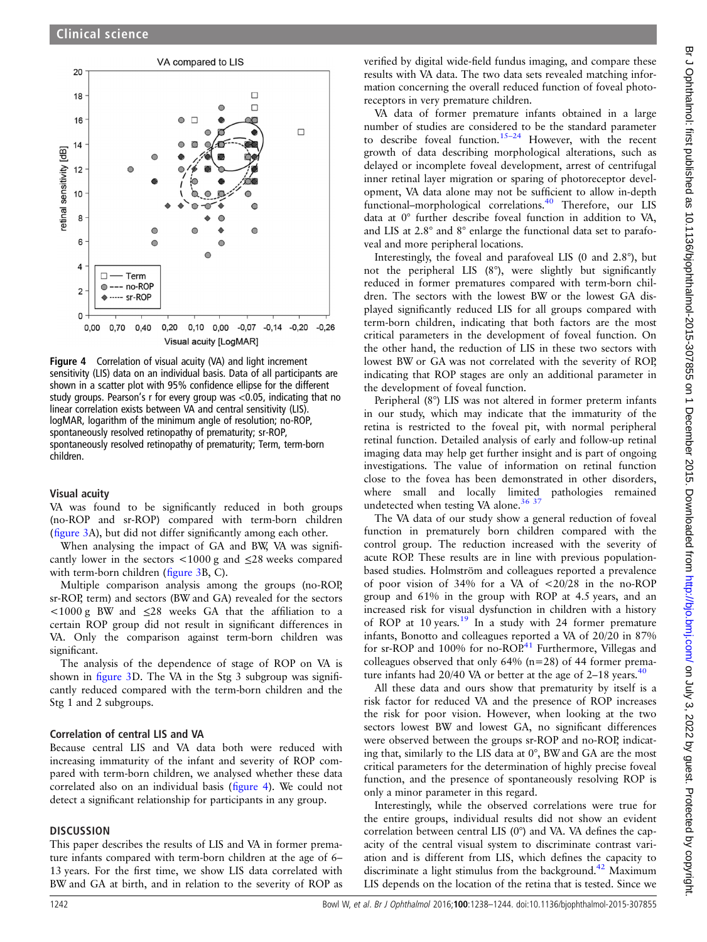

Figure 4 Correlation of visual acuity (VA) and light increment sensitivity (LIS) data on an individual basis. Data of all participants are shown in a scatter plot with 95% confidence ellipse for the different study groups. Pearson's r for every group was <0.05, indicating that no linear correlation exists between VA and central sensitivity (LIS). logMAR, logarithm of the minimum angle of resolution; no-ROP, spontaneously resolved retinopathy of prematurity; sr-ROP, spontaneously resolved retinopathy of prematurity; Term, term-born children.

#### Visual acuity

VA was found to be significantly reduced in both groups (no-ROP and sr-ROP) compared with term-born children (fi[gure 3A](#page-3-0)), but did not differ significantly among each other.

When analysing the impact of GA and BW, VA was significantly lower in the sectors  $\lt 1000$  g and  $\leq 28$  weeks compared with term-born children (fi[gure 3B](#page-3-0), C).

Multiple comparison analysis among the groups (no-ROP, sr-ROP, term) and sectors (BW and GA) revealed for the sectors  $1000 g$  BW and  $\leq 28$  weeks GA that the affiliation to a certain ROP group did not result in significant differences in VA. Only the comparison against term-born children was significant.

The analysis of the dependence of stage of ROP on VA is shown in fi[gure 3](#page-3-0)D. The VA in the Stg 3 subgroup was significantly reduced compared with the term-born children and the Stg 1 and 2 subgroups.

## Correlation of central LIS and VA

Because central LIS and VA data both were reduced with increasing immaturity of the infant and severity of ROP compared with term-born children, we analysed whether these data correlated also on an individual basis (figure 4). We could not detect a significant relationship for participants in any group.

## **DISCUSSION**

This paper describes the results of LIS and VA in former premature infants compared with term-born children at the age of 6– 13 years. For the first time, we show LIS data correlated with BW and GA at birth, and in relation to the severity of ROP as

verified by digital wide-field fundus imaging, and compare these results with VA data. The two data sets revealed matching information concerning the overall reduced function of foveal photoreceptors in very premature children.

VA data of former premature infants obtained in a large number of studies are considered to be the standard parameter to describe foveal function.<sup>[15](#page-5-0)–24</sup> However, with the recent</sup> growth of data describing morphological alterations, such as delayed or incomplete foveal development, arrest of centrifugal inner retinal layer migration or sparing of photoreceptor development, VA data alone may not be sufficient to allow in-depth functional–morphological correlations.<sup>[40](#page-6-0)</sup> Therefore, our LIS data at 0° further describe foveal function in addition to VA, and LIS at 2.8° and 8° enlarge the functional data set to parafoveal and more peripheral locations.

Interestingly, the foveal and parafoveal LIS (0 and 2.8°), but not the peripheral LIS (8°), were slightly but significantly reduced in former prematures compared with term-born children. The sectors with the lowest BW or the lowest GA displayed significantly reduced LIS for all groups compared with term-born children, indicating that both factors are the most critical parameters in the development of foveal function. On the other hand, the reduction of LIS in these two sectors with lowest BW or GA was not correlated with the severity of ROP, indicating that ROP stages are only an additional parameter in the development of foveal function.

Peripheral (8°) LIS was not altered in former preterm infants in our study, which may indicate that the immaturity of the retina is restricted to the foveal pit, with normal peripheral retinal function. Detailed analysis of early and follow-up retinal imaging data may help get further insight and is part of ongoing investigations. The value of information on retinal function close to the fovea has been demonstrated in other disorders, where small and locally limited pathologies remained undetected when testing VA alone. $3637$ 

The VA data of our study show a general reduction of foveal function in prematurely born children compared with the control group. The reduction increased with the severity of acute ROP. These results are in line with previous populationbased studies. Holmström and colleagues reported a prevalence of poor vision of 34% for a VA of <20/28 in the no-ROP group and 61% in the group with ROP at 4.5 years, and an increased risk for visual dysfunction in children with a history of ROP at 10 years.<sup>19</sup> In a study with 24 former premature infants, Bonotto and colleagues reported a VA of 20/20 in 87% for sr-ROP and 100% for no-ROP.<sup>[41](#page-6-0)</sup> Furthermore, Villegas and colleagues observed that only  $64\%$  (n=28) of 44 former prema-ture infants had 20/[40](#page-6-0) VA or better at the age of  $2-18$  years.<sup>40</sup>

All these data and ours show that prematurity by itself is a risk factor for reduced VA and the presence of ROP increases the risk for poor vision. However, when looking at the two sectors lowest BW and lowest GA, no significant differences were observed between the groups sr-ROP and no-ROP, indicating that, similarly to the LIS data at 0°, BW and GA are the most critical parameters for the determination of highly precise foveal function, and the presence of spontaneously resolving ROP is only a minor parameter in this regard.

Interestingly, while the observed correlations were true for the entire groups, individual results did not show an evident correlation between central LIS (0°) and VA. VA defines the capacity of the central visual system to discriminate contrast variation and is different from LIS, which defines the capacity to discriminate a light stimulus from the background.<sup>[42](#page-6-0)</sup> Maximum LIS depends on the location of the retina that is tested. Since we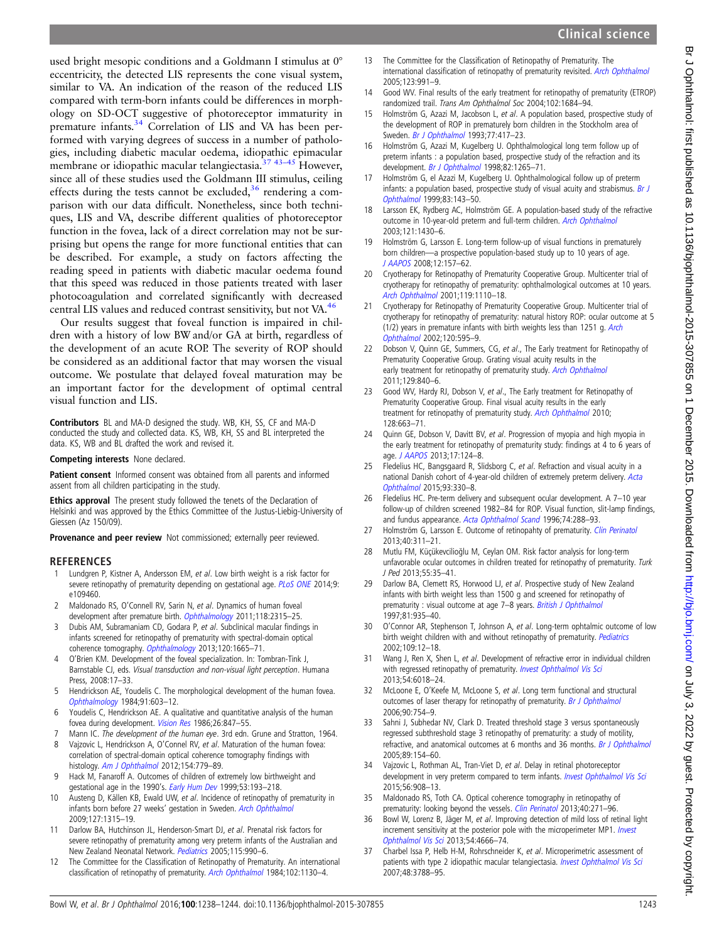<span id="page-5-0"></span>used bright mesopic conditions and a Goldmann I stimulus at 0° eccentricity, the detected LIS represents the cone visual system, similar to VA. An indication of the reason of the reduced LIS compared with term-born infants could be differences in morphology on SD-OCT suggestive of photoreceptor immaturity in premature infants.34 Correlation of LIS and VA has been performed with varying degrees of success in a number of pathologies, including diabetic macular oedema, idiopathic epimacular membrane or idiopathic macular telangiectasia.<sup>37</sup> <sup>43-45</sup> However, since all of these studies used the Goldmann III stimulus, ceiling effects during the tests cannot be excluded,  $36$  rendering a comparison with our data difficult. Nonetheless, since both techniques, LIS and VA, describe different qualities of photoreceptor function in the fovea, lack of a direct correlation may not be surprising but opens the range for more functional entities that can be described. For example, a study on factors affecting the reading speed in patients with diabetic macular oedema found that this speed was reduced in those patients treated with laser photocoagulation and correlated significantly with decreased central LIS values and reduced contrast sensitivity, but not VA.[46](#page-6-0)

Our results suggest that foveal function is impaired in children with a history of low BW and/or GA at birth, regardless of the development of an acute ROP. The severity of ROP should be considered as an additional factor that may worsen the visual outcome. We postulate that delayed foveal maturation may be an important factor for the development of optimal central visual function and LIS.

Contributors BL and MA-D designed the study. WB, KH, SS, CF and MA-D conducted the study and collected data. KS, WB, KH, SS and BL interpreted the data. KS, WB and BL drafted the work and revised it.

Competing interests None declared.

Patient consent Informed consent was obtained from all parents and informed assent from all children participating in the study.

Ethics approval The present study followed the tenets of the Declaration of Helsinki and was approved by the Ethics Committee of the Justus-Liebig-University of Giessen (Az 150/09).

Provenance and peer review Not commissioned; externally peer reviewed.

#### REFERENCES

- Lundgren P, Kistner A, Andersson EM, et al. Low birth weight is a risk factor for severe retinopathy of prematurity depending on gestational age. PLOS ONE 2014;9: e109460
- 2 Maldonado RS, O'Connell RV, Sarin N, et al. Dynamics of human foveal development after premature birth. [Ophthalmology](http://dx.doi.org/10.1016/j.ophtha.2011.05.028) 2011;118:2315-25.
- 3 Dubis AM, Subramaniam CD, Godara P, et al. Subclinical macular findings in infants screened for retinopathy of prematurity with spectral-domain optical coherence tomography. [Ophthalmology](http://dx.doi.org/10.1016/j.ophtha.2013.01.028) 2013;120:1665-71.
- 4 O'Brien KM. Development of the foveal specialization. In: Tombran-Tink J, Barnstable CJ, eds. Visual transduction and non-visual light perception. Humana Press, 2008:17–33.
- 5 Hendrickson AE, Youdelis C. The morphological development of the human fovea. [Ophthalmology](http://dx.doi.org/10.1016/S0161-6420(84)34247-6) 1984;91:603–12.
- 6 Youdelis C, Hendrickson AE. A qualitative and quantitative analysis of the human fovea during development. [Vision Res](http://dx.doi.org/10.1016/0042-6989(86)90143-4) 1986;26:847-55.
- 7 Mann IC. The development of the human eye. 3rd edn. Grune and Stratton, 1964.
- 8 Vajzovic L, Hendrickson A, O'Connel RV, et al. Maturation of the human fovea: correlation of spectral-domain optical coherence tomography findings with histology. [Am J Ophthalmol](http://dx.doi.org/10.1016/j.ajo.2012.05.004) 2012;154:779–89.
- 9 Hack M, Fanaroff A. Outcomes of children of extremely low birthweight and gestational age in the 1990's. [Early Hum Dev](http://dx.doi.org/10.1016/S0378-3782(98)00052-8) 1999;53:193-218.
- 10 Austeng D, Källen KB, Ewald UW, et al. Incidence of retinopathy of prematurity in infants born before 27 weeks' gestation in Sweden. [Arch Ophthalmol](http://dx.doi.org/10.1001/archophthalmol.2009.244) 2009;127:1315–19.
- 11 Darlow BA, Hutchinson JL, Henderson-Smart DJ, et al. Prenatal risk factors for severe retinopathy of prematurity among very preterm infants of the Australian and New Zealand Neonatal Network. [Pediatrics](http://dx.doi.org/10.1542/peds.2004-1309) 2005;115:990–6.
- 12 The Committee for the Classification of Retinopathy of Prematurity. An international classification of retinopathy of prematurity. [Arch Ophthalmol](http://dx.doi.org/10.1001/archopht.1984.01040030908011) 1984;102:1130-4.
- 13 The Committee for the Classification of Retinopathy of Prematurity. The international classification of retinopathy of prematurity revisited. [Arch Ophthalmol](http://dx.doi.org/10.1001/archopht.123.7.991) 2005;123:991–9.
- 14 Good WV. Final results of the early treatment for retinopathy of prematurity (ETROP) randomized trail. Trans Am Ophthalmol Soc 2004;102:1684–94.
- 15 Holmström G, Azazi M, Jacobson L, et al. A population based, prospective study of the development of ROP in prematurely born children in the Stockholm area of Sweden. [Br J Ophthalmol](http://dx.doi.org/10.1136/bjo.77.7.417) 1993;77:417-23.
- 16 Holmström G, Azazi M, Kugelberg U. Ophthalmological long term follow up of preterm infants : a population based, prospective study of the refraction and its development. [Br J Ophthalmol](http://dx.doi.org/10.1136/bjo.82.11.1265) 1998;82:1265–71.
- 17 Holmström G, el Azazi M, Kugelberg U. Ophthalmological follow up of preterm infants: a population based, prospective study of visual acuity and strabismus. [Br J](http://dx.doi.org/10.1136/bjo.83.2.143) [Ophthalmol](http://dx.doi.org/10.1136/bjo.83.2.143) 1999;83:143–50.
- Larsson EK, Rydberg AC, Holmström GE. A population-based study of the refractive outcome in 10-year-old preterm and full-term children. [Arch Ophthalmol](http://dx.doi.org/10.1001/archopht.121.10.1430) 2003;121:1430–6.
- 19 Holmström G, Larsson E. Long-term follow-up of visual functions in prematurely born children—a prospective population-based study up to 10 years of age. [J AAPOS](http://dx.doi.org/10.1016/j.jaapos.2007.08.012) 2008;12:157–62.
- 20 Cryotherapy for Retinopathy of Prematurity Cooperative Group. Multicenter trial of cryotherapy for retinopathy of prematurity: ophthalmological outcomes at 10 years. [Arch Ophthalmol](http://dx.doi.org/10.1001/archopht.119.8.1110) 2001;119:1110–18.
- 21 Cryotherapy for Retinopathy of Prematurity Cooperative Group. Multicenter trial of cryotherapy for retinopathy of prematurity: natural history ROP: ocular outcome at 5 (1/2) years in premature infants with birth weights less than 1251 g. [Arch](http://dx.doi.org/10.1001/archopht.120.5.595) [Ophthalmol](http://dx.doi.org/10.1001/archopht.120.5.595) 2002;120:595–9.
- 22 Dobson V, Quinn GE, Summers, CG, et al., The Early treatment for Retinopathy of Prematurity Cooperative Group. Grating visual acuity results in the early treatment for retinopathy of prematurity study. [Arch Ophthalmol](http://dx.doi.org/10.1001/archophthalmol.2011.143) 2011;129:840–6.
- 23 Good WV, Hardy RJ, Dobson V, et al., The Early treatment for Retinopathy of Prematurity Cooperative Group. Final visual acuity results in the early treatment for retinopathy of prematurity study. [Arch Ophthalmol](http://dx.doi.org/10.1001/archophthalmol.2010.72) 2010; 128:663–71.
- 24 Quinn GE, Dobson V, Davitt BV, et al. Progression of myopia and high myopia in the early treatment for retinopathy of prematurity study: findings at 4 to 6 years of age. [J AAPOS](http://dx.doi.org/10.1016/j.jaapos.2012.10.025) 2013;17:124–8.
- 25 Fledelius HC, Bangsgaard R, Slidsborg C, et al. Refraction and visual acuity in a national Danish cohort of 4-year-old children of extremely preterm delivery. [Acta](http://dx.doi.org/10.1111/aos.12643) [Ophthalmol](http://dx.doi.org/10.1111/aos.12643) 2015;93:330–8.
- 26 Fledelius HC. Pre-term delivery and subsequent ocular development. A 7–10 year follow-up of children screened 1982–84 for ROP. Visual function, slit-lamp findings, and fundus appearance. [Acta Ophthalmol Scand](http://dx.doi.org/10.1111/j.1600-0420.1996.tb00094.x) 1996;74:288-93.
- 27 Holmström G, Larsson E. Outcome of retinopahty of prematurity. [Clin Perinatol](http://dx.doi.org/10.1016/j.clp.2013.02.008) 2013;40:311–21.
- 28 Mutlu FM, Küçükevcilioğlu M, Ceylan OM. Risk factor analysis for long-term unfavorable ocular outcomes in children treated for retinopathy of prematurity. Turk J Ped 2013;55:35–41.
- 29 Darlow BA, Clemett RS, Horwood LJ, et al. Prospective study of New Zealand infants with birth weight less than 1500 g and screened for retinopathy of prematurity : visual outcome at age 7-8 years. [British J Ophthalmol](http://dx.doi.org/10.1136/bjo.81.11.935) 1997;81:935–40.
- 30 O'Connor AR, Stephenson T, Johnson A, et al. Long-term ophtalmic outcome of low birth weight children with and without retinopathy of prematurity. [Pediatrics](http://dx.doi.org/10.1542/peds.109.1.12) 2002;109:12–18.
- 31 Wang J, Ren X, Shen L, et al. Development of refractive error in individual children with regressed retinopathy of prematurity. [Invest Ophthalmol Vis Sci](http://dx.doi.org/10.1167/iovs.13-11765) 2013;54:6018–24.
- 32 McLoone E, O'Keefe M, McLoone S, et al. Long term functional and structural outcomes of laser therapy for retinopathy of prematurity. [Br J Ophthalmol](http://dx.doi.org/10.1136/bjo.2005.068304) 2006;90:754–9.
- 33 Sahni J, Subhedar NV, Clark D. Treated threshold stage 3 versus spontaneously regressed subthreshold stage 3 retinopathy of prematurity: a study of motility, refractive, and anatomical outcomes at 6 months and 36 months. [Br J Ophthalmol](http://dx.doi.org/10.1136/bjo.2004.045815) 2005;89:154–60.
- 34 Vajzovic L, Rothman AL, Tran-Viet D, et al. Delay in retinal photoreceptor development in very preterm compared to term infants. [Invest Ophthalmol Vis Sci](http://dx.doi.org/10.1167/iovs.14-16021) 2015;56:908–13.
- 35 Maldonado RS, Toth CA. Optical coherence tomography in retinopathy of prematurity: looking beyond the vessels. [Clin Perinatol](http://dx.doi.org/10.1016/j.clp.2013.02.007) 2013;40:271-96.
- 36 Bowl W, Lorenz B, Jäger M, et al. Improving detection of mild loss of retinal light increment sensitivity at the posterior pole with the microperimeter MP1. [Invest](http://dx.doi.org/10.1167/iovs.12-11241) [Ophthalmol Vis Sci](http://dx.doi.org/10.1167/iovs.12-11241) 2013;54:4666–74.
- 37 Charbel Issa P, Helb H-M, Rohrschneider K, et al. Microperimetric assessment of patients with type 2 idiopathic macular telangiectasia. [Invest Ophthalmol Vis Sci](http://dx.doi.org/10.1167/iovs.06-1272) 2007;48:3788–95.